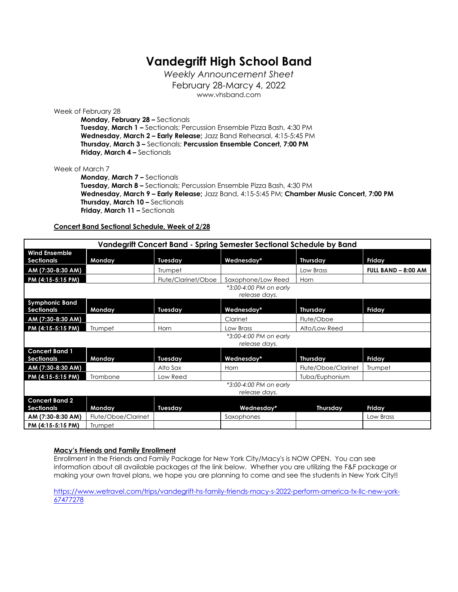# **Vandegrift High School Band**

*Weekly Announcement Sheet* February 28-Marcy 4, 2022 www.vhsband.com

Week of February 28

**Monday, February 28 –** Sectionals **Tuesday, March 1 –** Sectionals; Percussion Ensemble Pizza Bash, 4:30 PM **Wednesday, March 2 – Early Release;** Jazz Band Rehearsal, 4:15-5:45 PM **Thursday, March 3 –** Sectionals; **Percussion Ensemble Concert, 7:00 PM Friday, March 4 –** Sectionals

### Week of March 7

**Monday, March 7 –** Sectionals **Tuesday, March 8 –** Sectionals; Percussion Ensemble Pizza Bash, 4:30 PM **Wednesday, March 9 – Early Release;** Jazz Band, 4:15-5:45 PM; **Chamber Music Concert, 7:00 PM Thursday, March 10 - Sectionals Friday, March 11 –** Sectionals

## **Concert Band Sectional Schedule, Week of 2/28**

| Vandegrift Concert Band - Spring Semester Sectional Schedule by Band |                     |                     |                                         |                     |                     |
|----------------------------------------------------------------------|---------------------|---------------------|-----------------------------------------|---------------------|---------------------|
| <b>Wind Ensemble</b><br><b>Sectionals</b>                            | Monday              | Tuesday             | Wednesday*                              | <b>Thursday</b>     | Friday              |
| AM (7:30-8:30 AM)                                                    |                     | Trumpet             |                                         | Low Brass           | FULL BAND - 8:00 AM |
| PM (4:15-5:15 PM)                                                    |                     | Flute/Clarinet/Oboe | Saxophone/Low Reed                      | Horn                |                     |
|                                                                      |                     |                     | *3:00-4:00 PM on early<br>release days. |                     |                     |
| <b>Symphonic Band</b><br><b>Sectionals</b>                           | Monday              | Tuesday             | Wednesday*                              | <b>Thursday</b>     | Friday              |
| AM (7:30-8:30 AM)                                                    |                     |                     | Clarinet                                | Flute/Oboe          |                     |
| PM (4:15-5:15 PM)                                                    | Trumpet             | Horn                | Low Brass                               | Alto/Low Reed       |                     |
|                                                                      |                     |                     | *3:00-4:00 PM on early<br>release days. |                     |                     |
| <b>Concert Band 1</b><br><b>Sectionals</b>                           | Monday              | Tuesday             | Wednesday*                              | <b>Thursday</b>     | Friday              |
| AM (7:30-8:30 AM)                                                    |                     | Alto Sax            | Horn                                    | Flute/Oboe/Clarinet | Trumpet             |
| PM (4:15-5:15 PM)                                                    | Trombone            | Low Reed            |                                         | Tuba/Euphonium      |                     |
|                                                                      |                     |                     | *3:00-4:00 PM on early<br>release days. |                     |                     |
| <b>Concert Band 2</b><br><b>Sectionals</b>                           | Monday              | Tuesday             | Wednesday*                              | Thursday            | Friday              |
| AM (7:30-8:30 AM)                                                    | Flute/Oboe/Clarinet |                     | Saxophones                              |                     | Low Brass           |
| PM (4:15-5:15 PM)                                                    | Trumpet             |                     |                                         |                     |                     |

#### **Macy's Friends and Family Enrollment**

Enrollment in the Friends and Family Package for New York City/Macy's is NOW OPEN. You can see information about all available packages at the link below. Whether you are utilizing the F&F package or making your own travel plans, we hope you are planning to come and see the students in New York City!!

https://www.wetravel.com/trips/vandegrift-hs-family-friends-macy-s-2022-perform-america-tx-llc-new-york-67477278